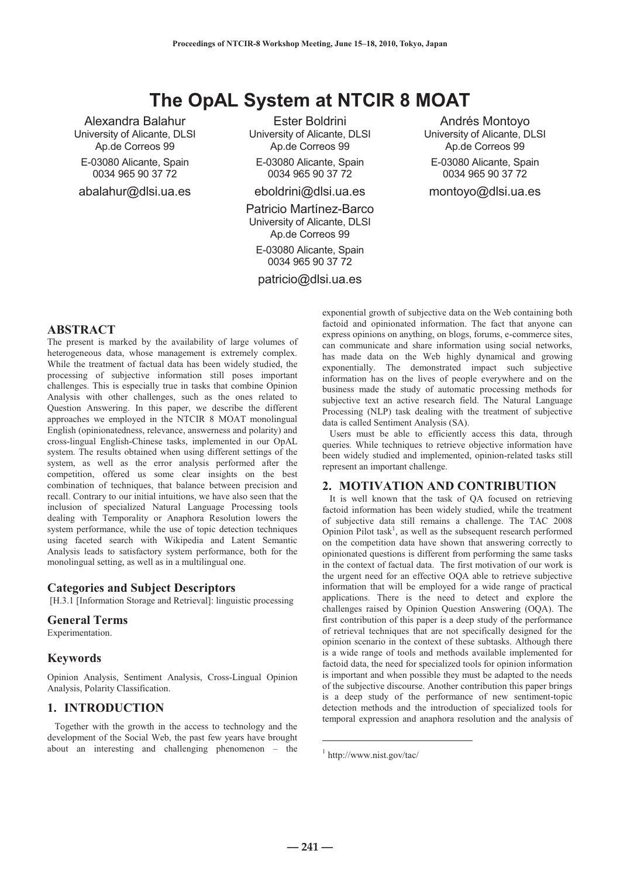# **The OpAL System at NTCIR 8 MOAT**

Alexandra Balahur University of Alicante, DLSI Ap.de Correos 99 E-03080 Alicante, Spain 0034 965 90 37 72 abalahur@dlsi.ua.es

Ester Boldrini University of Alicante, DLSI Ap.de Correos 99

E-03080 Alicante, Spain 0034 965 90 37 72

eboldrini@dlsi.ua.es

Patricio Martínez-Barco University of Alicante, DLSI Ap.de Correos 99

E-03080 Alicante, Spain 0034 965 90 37 72

patricio@dlsi.ua.es

Andrés Montoyo University of Alicante, DLSI Ap.de Correos 99 E-03080 Alicante, Spain 0034 965 90 37 72 montoyo@dlsi.ua.es

# **ABSTRACT**

The present is marked by the availability of large volumes of heterogeneous data, whose management is extremely complex. While the treatment of factual data has been widely studied, the processing of subjective information still poses important challenges. This is especially true in tasks that combine Opinion Analysis with other challenges, such as the ones related to Question Answering. In this paper, we describe the different approaches we employed in the NTCIR 8 MOAT monolingual English (opinionatedness, relevance, answerness and polarity) and cross-lingual English-Chinese tasks, implemented in our OpAL system. The results obtained when using different settings of the system, as well as the error analysis performed after the competition, offered us some clear insights on the best combination of techniques, that balance between precision and recall. Contrary to our initial intuitions, we have also seen that the inclusion of specialized Natural Language Processing tools dealing with Temporality or Anaphora Resolution lowers the system performance, while the use of topic detection techniques using faceted search with Wikipedia and Latent Semantic Analysis leads to satisfactory system performance, both for the monolingual setting, as well as in a multilingual one.

#### **Categories and Subject Descriptors**

[H.3.1 [Information Storage and Retrieval]: linguistic processing

# **General Terms**

Experimentation.

#### **Keywords**

Opinion Analysis, Sentiment Analysis, Cross-Lingual Opinion Analysis, Polarity Classification.

# **1. INTRODUCTION**

Together with the growth in the access to technology and the development of the Social Web, the past few years have brought about an interesting and challenging phenomenon – the exponential growth of subjective data on the Web containing both factoid and opinionated information. The fact that anyone can express opinions on anything, on blogs, forums, e-commerce sites, can communicate and share information using social networks, has made data on the Web highly dynamical and growing exponentially. The demonstrated impact such subjective information has on the lives of people everywhere and on the business made the study of automatic processing methods for subjective text an active research field. The Natural Language Processing (NLP) task dealing with the treatment of subjective data is called Sentiment Analysis (SA).

Users must be able to efficiently access this data, through queries. While techniques to retrieve objective information have been widely studied and implemented, opinion-related tasks still represent an important challenge.

# **2. MOTIVATION AND CONTRIBUTION**

It is well known that the task of QA focused on retrieving factoid information has been widely studied, while the treatment of subjective data still remains a challenge. The TAC 2008 Opinion Pilot task<sup>1</sup>, as well as the subsequent research performed on the competition data have shown that answering correctly to opinionated questions is different from performing the same tasks in the context of factual data. The first motivation of our work is the urgent need for an effective OQA able to retrieve subjective information that will be employed for a wide range of practical applications. There is the need to detect and explore the challenges raised by Opinion Question Answering (OQA). The first contribution of this paper is a deep study of the performance of retrieval techniques that are not specifically designed for the opinion scenario in the context of these subtasks. Although there is a wide range of tools and methods available implemented for factoid data, the need for specialized tools for opinion information is important and when possible they must be adapted to the needs of the subjective discourse. Another contribution this paper brings is a deep study of the performance of new sentiment-topic detection methods and the introduction of specialized tools for temporal expression and anaphora resolution and the analysis of

**― 241 ―**

 $\overline{a}$ 

<sup>1</sup> http://www.nist.gov/tac/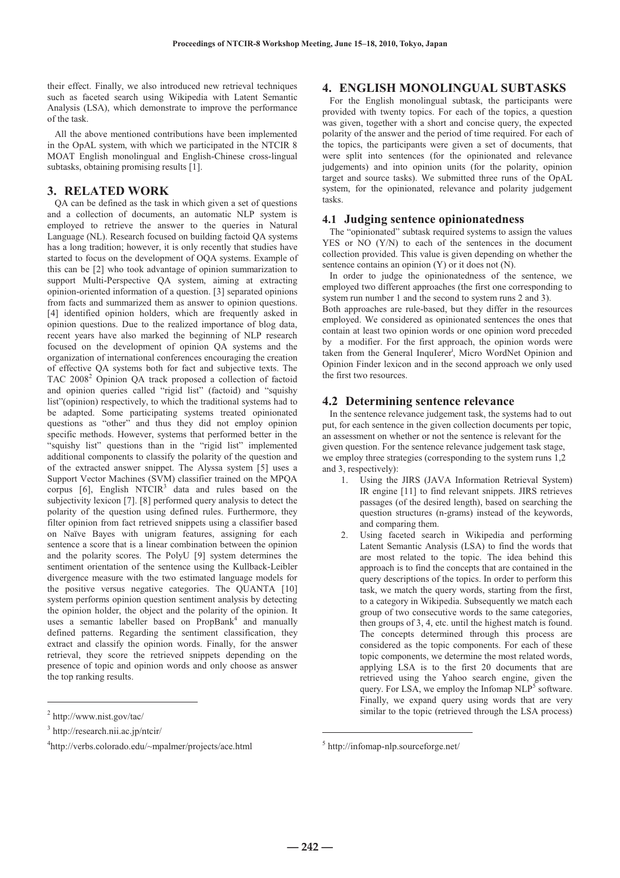their effect. Finally, we also introduced new retrieval techniques such as faceted search using Wikipedia with Latent Semantic Analysis (LSA), which demonstrate to improve the performance of the task.

All the above mentioned contributions have been implemented in the OpAL system, with which we participated in the NTCIR 8 MOAT English monolingual and English-Chinese cross-lingual subtasks, obtaining promising results [1].

# **3. RELATED WORK**

QA can be defined as the task in which given a set of questions and a collection of documents, an automatic NLP system is employed to retrieve the answer to the queries in Natural Language (NL). Research focused on building factoid QA systems has a long tradition; however, it is only recently that studies have started to focus on the development of OQA systems. Example of this can be [2] who took advantage of opinion summarization to support Multi-Perspective QA system, aiming at extracting opinion-oriented information of a question. [3] separated opinions from facts and summarized them as answer to opinion questions. [4] identified opinion holders, which are frequently asked in opinion questions. Due to the realized importance of blog data, recent years have also marked the beginning of NLP research focused on the development of opinion QA systems and the organization of international conferences encouraging the creation of effective QA systems both for fact and subjective texts. The TAC 2008<sup>2</sup> Opinion QA track proposed a collection of factoid and opinion queries called "rigid list" (factoid) and "squishy list"(opinion) respectively, to which the traditional systems had to be adapted. Some participating systems treated opinionated questions as "other" and thus they did not employ opinion specific methods. However, systems that performed better in the "squishy list" questions than in the "rigid list" implemented additional components to classify the polarity of the question and of the extracted answer snippet. The Alyssa system [5] uses a Support Vector Machines (SVM) classifier trained on the MPQA corpus  $[6]$ , English NTCIR<sup>3</sup> data and rules based on the subjectivity lexicon [7]. [8] performed query analysis to detect the polarity of the question using defined rules. Furthermore, they filter opinion from fact retrieved snippets using a classifier based on Naïve Bayes with unigram features, assigning for each sentence a score that is a linear combination between the opinion and the polarity scores. The PolyU [9] system determines the sentiment orientation of the sentence using the Kullback-Leibler divergence measure with the two estimated language models for the positive versus negative categories. The QUANTA [10] system performs opinion question sentiment analysis by detecting the opinion holder, the object and the polarity of the opinion. It uses a semantic labeller based on PropBank<sup>4</sup> and manually defined patterns. Regarding the sentiment classification, they extract and classify the opinion words. Finally, for the answer retrieval, they score the retrieved snippets depending on the presence of topic and opinion words and only choose as answer the top ranking results.

 $\overline{a}$ 

# **4. ENGLISH MONOLINGUAL SUBTASKS**

For the English monolingual subtask, the participants were provided with twenty topics. For each of the topics, a question was given, together with a short and concise query, the expected polarity of the answer and the period of time required. For each of the topics, the participants were given a set of documents, that were split into sentences (for the opinionated and relevance judgements) and into opinion units (for the polarity, opinion target and source tasks). We submitted three runs of the OpAL system, for the opinionated, relevance and polarity judgement tasks.

#### **4.1 Judging sentence opinionatedness**

The "opinionated" subtask required systems to assign the values YES or NO (Y/N) to each of the sentences in the document collection provided. This value is given depending on whether the sentence contains an opinion (Y) or it does not (N).

In order to judge the opinionatedness of the sentence, we employed two different approaches (the first one corresponding to system run number 1 and the second to system runs 2 and 3).

Both approaches are rule-based, but they differ in the resources employed. We considered as opinionated sentences the ones that contain at least two opinion words or one opinion word preceded by a modifier. For the first approach, the opinion words were taken from the General InquIerer<sup>i</sup>, Micro WordNet Opinion and Opinion Finder lexicon and in the second approach we only used the first two resources.

#### **4.2 Determining sentence relevance**

In the sentence relevance judgement task, the systems had to out put, for each sentence in the given collection documents per topic, an assessment on whether or not the sentence is relevant for the given question. For the sentence relevance judgement task stage, we employ three strategies (corresponding to the system runs 1,2 and 3, respectively):

- 1. Using the JIRS (JAVA Information Retrieval System) IR engine [11] to find relevant snippets. JIRS retrieves passages (of the desired length), based on searching the question structures (n-grams) instead of the keywords, and comparing them.
- 2. Using faceted search in Wikipedia and performing Latent Semantic Analysis (LSA) to find the words that are most related to the topic. The idea behind this approach is to find the concepts that are contained in the query descriptions of the topics. In order to perform this task, we match the query words, starting from the first, to a category in Wikipedia. Subsequently we match each group of two consecutive words to the same categories, then groups of 3, 4, etc. until the highest match is found. The concepts determined through this process are considered as the topic components. For each of these topic components, we determine the most related words, applying LSA is to the first 20 documents that are retrieved using the Yahoo search engine, given the query. For LSA, we employ the Infomap  $NLP<sup>5</sup>$  software. Finally, we expand query using words that are very similar to the topic (retrieved through the LSA process)

 $\overline{a}$ 

<sup>2</sup> http://www.nist.gov/tac/

<sup>3</sup> http://research.nii.ac.jp/ntcir/

<sup>4</sup> http://verbs.colorado.edu/~mpalmer/projects/ace.html

<sup>5</sup> http://infomap-nlp.sourceforge.net/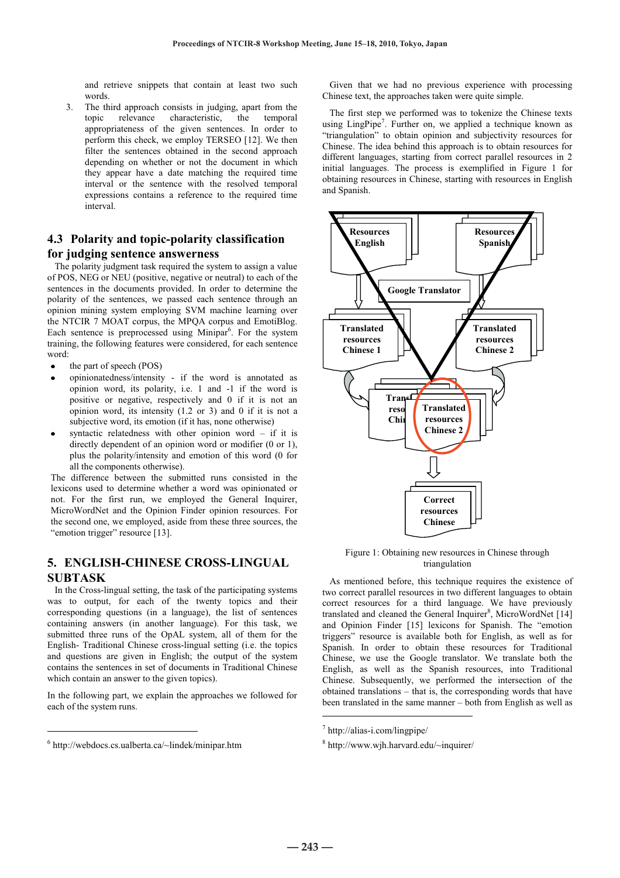and retrieve snippets that contain at least two such words.

3. The third approach consists in judging, apart from the topic relevance characteristic, the temporal appropriateness of the given sentences. In order to perform this check, we employ TERSEO [12]. We then filter the sentences obtained in the second approach depending on whether or not the document in which they appear have a date matching the required time interval or the sentence with the resolved temporal expressions contains a reference to the required time interval.

# **4.3 Polarity and topic-polarity classification for judging sentence answerness**

The polarity judgment task required the system to assign a value of POS, NEG or NEU (positive, negative or neutral) to each of the sentences in the documents provided. In order to determine the polarity of the sentences, we passed each sentence through an opinion mining system employing SVM machine learning over the NTCIR 7 MOAT corpus, the MPQA corpus and EmotiBlog. Each sentence is preprocessed using Minipar<sup>6</sup>. For the system training, the following features were considered, for each sentence word:

- the part of speech (POS)
- opinionatedness/intensity if the word is annotated as opinion word, its polarity, i.e. 1 and -1 if the word is positive or negative, respectively and 0 if it is not an opinion word, its intensity  $(1.2 \text{ or } 3)$  and 0 if it is not a subjective word, its emotion (if it has, none otherwise)
- syntactic relatedness with other opinion word if it is directly dependent of an opinion word or modifier (0 or 1), plus the polarity/intensity and emotion of this word (0 for all the components otherwise).

The difference between the submitted runs consisted in the lexicons used to determine whether a word was opinionated or not. For the first run, we employed the General Inquirer, MicroWordNet and the Opinion Finder opinion resources. For the second one, we employed, aside from these three sources, the "emotion trigger" resource [13].

# **5. ENGLISH-CHINESE CROSS-LINGUAL SUBTASK**

In the Cross-lingual setting, the task of the participating systems was to output, for each of the twenty topics and their corresponding questions (in a language), the list of sentences containing answers (in another language). For this task, we submitted three runs of the OpAL system, all of them for the English- Traditional Chinese cross-lingual setting (i.e. the topics and questions are given in English; the output of the system contains the sentences in set of documents in Traditional Chinese which contain an answer to the given topics).

In the following part, we explain the approaches we followed for each of the system runs.

 $\overline{a}$ 

Given that we had no previous experience with processing Chinese text, the approaches taken were quite simple.

The first step we performed was to tokenize the Chinese texts using LingPipe<sup>7</sup>. Further on, we applied a technique known as "triangulation" to obtain opinion and subjectivity resources for Chinese. The idea behind this approach is to obtain resources for different languages, starting from correct parallel resources in 2 initial languages. The process is exemplified in Figure 1 for obtaining resources in Chinese, starting with resources in English and Spanish.



Figure 1: Obtaining new resources in Chinese through triangulation

As mentioned before, this technique requires the existence of two correct parallel resources in two different languages to obtain correct resources for a third language. We have previously translated and cleaned the General Inquirer<sup>8</sup>, MicroWordNet [14] and Opinion Finder [15] lexicons for Spanish. The "emotion triggers" resource is available both for English, as well as for Spanish. In order to obtain these resources for Traditional Chinese, we use the Google translator. We translate both the English, as well as the Spanish resources, into Traditional Chinese. Subsequently, we performed the intersection of the obtained translations – that is, the corresponding words that have been translated in the same manner – both from English as well as

j

<sup>6</sup> http://webdocs.cs.ualberta.ca/~lindek/minipar.htm

<sup>7</sup> http://alias-i.com/lingpipe/

<sup>8</sup> http://www.wjh.harvard.edu/~inquirer/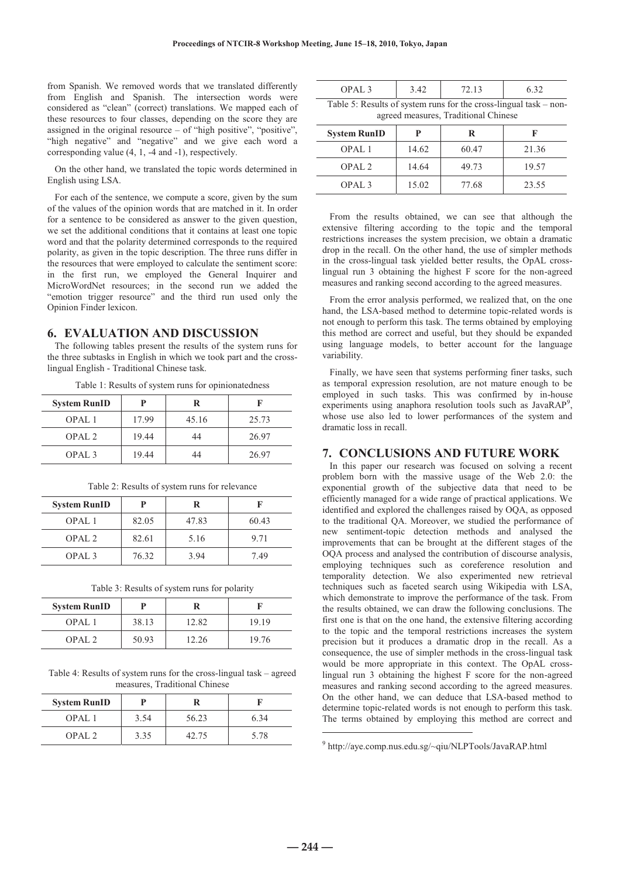from Spanish. We removed words that we translated differently from English and Spanish. The intersection words were considered as "clean" (correct) translations. We mapped each of these resources to four classes, depending on the score they are assigned in the original resource – of "high positive", "positive", "high negative" and "negative" and we give each word a corresponding value (4, 1, -4 and -1), respectively.

On the other hand, we translated the topic words determined in English using LSA.

For each of the sentence, we compute a score, given by the sum of the values of the opinion words that are matched in it. In order for a sentence to be considered as answer to the given question, we set the additional conditions that it contains at least one topic word and that the polarity determined corresponds to the required polarity, as given in the topic description. The three runs differ in the resources that were employed to calculate the sentiment score: in the first run, we employed the General Inquirer and MicroWordNet resources; in the second run we added the "emotion trigger resource" and the third run used only the Opinion Finder lexicon.

#### **6. EVALUATION AND DISCUSSION**

The following tables present the results of the system runs for the three subtasks in English in which we took part and the crosslingual English - Traditional Chinese task.

|  | Table 1: Results of system runs for opinionatedness |
|--|-----------------------------------------------------|
|  |                                                     |

| <b>System RunID</b> | P     | R     |       |
|---------------------|-------|-------|-------|
| OPAL <sub>1</sub>   | 17.99 | 45.16 | 25.73 |
| OPAL <sub>2</sub>   | 19.44 | 44    | 26.97 |
| OPAL <sub>3</sub>   | 19.44 | 44    | 26.97 |

| <b>System RunID</b> | P     | R     |       |
|---------------------|-------|-------|-------|
| OPAL <sub>1</sub>   | 82.05 | 47.83 | 60.43 |
| OPAL <sub>2</sub>   | 82.61 | 5.16  | 9.71  |
| OPAL <sub>3</sub>   | 76.32 | 3.94  | 7.49  |

Table 2: Results of system runs for relevance

Table 3: Results of system runs for polarity

| <b>System RunID</b> |       | R     |       |
|---------------------|-------|-------|-------|
| OPAL <sub>1</sub>   | 38.13 | 12.82 | 19.19 |
| OPAI.2              | 50.93 | 12.26 | 19.76 |

Table 4: Results of system runs for the cross-lingual task – agreed measures, Traditional Chinese

| <b>System RunID</b> |      |       |      |
|---------------------|------|-------|------|
| OPAL <sub>1</sub>   | 3.54 | 56.23 | 6.34 |
| OPAI.2              | 3.35 | 42.75 | 5.78 |

| OPAL <sub>3</sub>                                                                                           | 3.42 | 72.13 | 6.32 |  |  |  |
|-------------------------------------------------------------------------------------------------------------|------|-------|------|--|--|--|
| Table 5: Results of system runs for the cross-lingual task $-$ non-<br>agreed measures, Traditional Chinese |      |       |      |  |  |  |

| <b>System RunID</b> | р     | R     |       |
|---------------------|-------|-------|-------|
| OPAL <sub>1</sub>   | 14.62 | 60.47 | 21.36 |
| OPAL <sub>2</sub>   | 14.64 | 49.73 | 19.57 |
| OPAL <sub>3</sub>   | 15.02 | 77.68 | 23.55 |

From the results obtained, we can see that although the extensive filtering according to the topic and the temporal restrictions increases the system precision, we obtain a dramatic drop in the recall. On the other hand, the use of simpler methods in the cross-lingual task yielded better results, the OpAL crosslingual run 3 obtaining the highest F score for the non-agreed measures and ranking second according to the agreed measures.

From the error analysis performed, we realized that, on the one hand, the LSA-based method to determine topic-related words is not enough to perform this task. The terms obtained by employing this method are correct and useful, but they should be expanded using language models, to better account for the language variability.

Finally, we have seen that systems performing finer tasks, such as temporal expression resolution, are not mature enough to be employed in such tasks. This was confirmed by in-house experiments using anaphora resolution tools such as JavaRAP<sup>9</sup>, whose use also led to lower performances of the system and dramatic loss in recall.

### **7. CONCLUSIONS AND FUTURE WORK**

In this paper our research was focused on solving a recent problem born with the massive usage of the Web 2.0: the exponential growth of the subjective data that need to be efficiently managed for a wide range of practical applications. We identified and explored the challenges raised by OQA, as opposed to the traditional QA. Moreover, we studied the performance of new sentiment-topic detection methods and analysed the improvements that can be brought at the different stages of the OQA process and analysed the contribution of discourse analysis, employing techniques such as coreference resolution and temporality detection. We also experimented new retrieval techniques such as faceted search using Wikipedia with LSA, which demonstrate to improve the performance of the task. From the results obtained, we can draw the following conclusions. The first one is that on the one hand, the extensive filtering according to the topic and the temporal restrictions increases the system precision but it produces a dramatic drop in the recall. As a consequence, the use of simpler methods in the cross-lingual task would be more appropriate in this context. The OpAL crosslingual run 3 obtaining the highest F score for the non-agreed measures and ranking second according to the agreed measures. On the other hand, we can deduce that LSA-based method to determine topic-related words is not enough to perform this task. The terms obtained by employing this method are correct and

**― 244 ―**

 $\overline{a}$ 

<sup>9</sup> http://aye.comp.nus.edu.sg/~qiu/NLPTools/JavaRAP.html